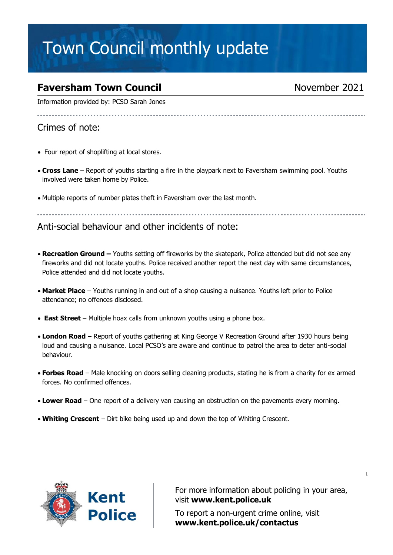# Town Council monthly update

## **Faversham Town Council November 2021**

Information provided by: PCSO Sarah Jones

..................................

### Crimes of note:

- Four report of shoplifting at local stores.
- **Cross Lane** Report of youths starting a fire in the playpark next to Faversham swimming pool. Youths involved were taken home by Police.
- Multiple reports of number plates theft in Faversham over the last month.

Anti-social behaviour and other incidents of note:

- **Recreation Ground –** Youths setting off fireworks by the skatepark, Police attended but did not see any fireworks and did not locate youths. Police received another report the next day with same circumstances, Police attended and did not locate youths.
- **Market Place** Youths running in and out of a shop causing a nuisance. Youths left prior to Police attendance; no offences disclosed.
- **East Street** Multiple hoax calls from unknown youths using a phone box.
- **London Road** Report of youths gathering at King George V Recreation Ground after 1930 hours being loud and causing a nuisance. Local PCSO's are aware and continue to patrol the area to deter anti-social behaviour.
- **Forbes Road** Male knocking on doors selling cleaning products, stating he is from a charity for ex armed forces. No confirmed offences.
- **Lower Road** One report of a delivery van causing an obstruction on the pavements every morning.
- **Whiting Crescent** Dirt bike being used up and down the top of Whiting Crescent.



For more information about policing in your area, visit **[www.kent.police.uk](http://www.kent.police.uk/)**

To report a non-urgent crime online, visit **www.kent.police.uk/contactus**